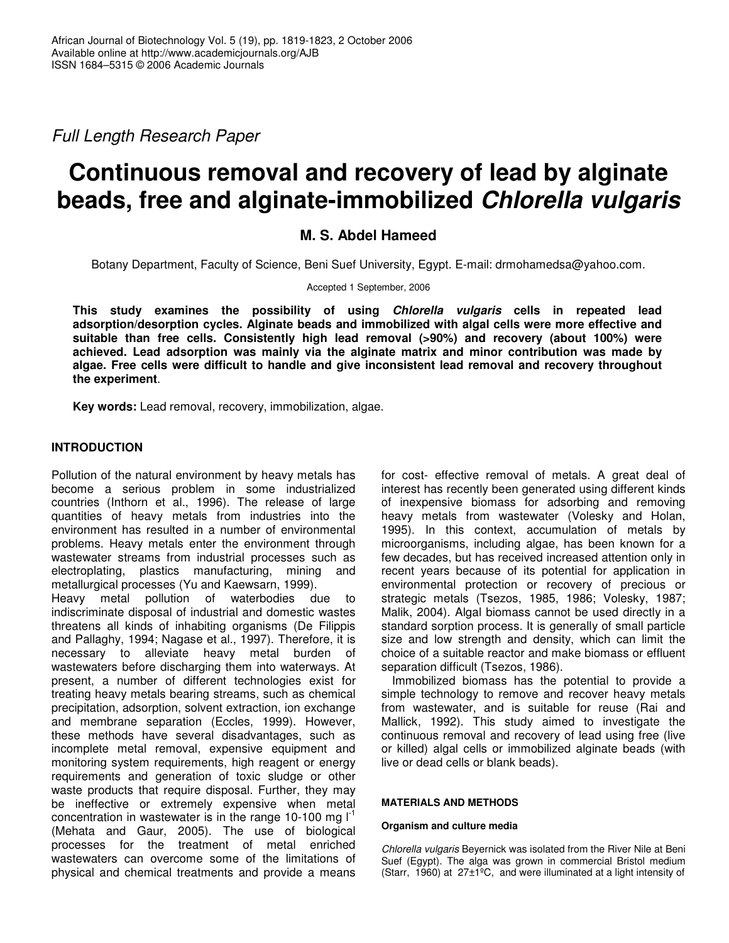*Full Length Research Paper*

# **Continuous removal and recovery of lead by alginate beads, free and alginate-immobilized** *Chlorella vulgaris*

# **M. S. Abdel Hameed**

Botany Department, Faculty of Science, Beni Suef University, Egypt. E-mail: drmohamedsa@yahoo.com.

Accepted 1 September, 2006

**This study examines the possibility of using** *Chlorella vulgaris* **cells in repeated lead adsorption/desorption cycles. Alginate beads and immobilized with algal cells were more effective and suitable than free cells. Consistently high lead removal (>90%) and recovery (about 100%) were achieved. Lead adsorption was mainly via the alginate matrix and minor contribution was made by algae. Free cells were difficult to handle and give inconsistent lead removal and recovery throughout the experiment**.

**Key words:** Lead removal, recovery, immobilization, algae.

## **INTRODUCTION**

Pollution of the natural environment by heavy metals has become a serious problem in some industrialized countries (Inthorn et al., 1996). The release of large quantities of heavy metals from industries into the environment has resulted in a number of environmental problems. Heavy metals enter the environment through wastewater streams from industrial processes such as electroplating, plastics manufacturing, mining and metallurgical processes (Yu and Kaewsarn, 1999).

Heavy metal pollution of waterbodies due to indiscriminate disposal of industrial and domestic wastes threatens all kinds of inhabiting organisms (De Filippis and Pallaghy, 1994; Nagase et al., 1997). Therefore, it is necessary to alleviate heavy metal burden of wastewaters before discharging them into waterways. At present, a number of different technologies exist for treating heavy metals bearing streams, such as chemical precipitation, adsorption, solvent extraction, ion exchange and membrane separation (Eccles, 1999). However, these methods have several disadvantages, such as incomplete metal removal, expensive equipment and monitoring system requirements, high reagent or energy requirements and generation of toxic sludge or other waste products that require disposal. Further, they may be ineffective or extremely expensive when metal concentration in wastewater is in the range 10-100 mg  $I<sup>1</sup>$ (Mehata and Gaur, 2005). The use of biological processes for the treatment of metal enriched wastewaters can overcome some of the limitations of physical and chemical treatments and provide a means

for cost- effective removal of metals. A great deal of interest has recently been generated using different kinds of inexpensive biomass for adsorbing and removing heavy metals from wastewater (Volesky and Holan, 1995). In this context, accumulation of metals by microorganisms, including algae, has been known for a few decades, but has received increased attention only in recent years because of its potential for application in environmental protection or recovery of precious or strategic metals (Tsezos, 1985, 1986; Volesky, 1987; Malik, 2004). Algal biomass cannot be used directly in a standard sorption process. It is generally of small particle size and low strength and density, which can limit the choice of a suitable reactor and make biomass or effluent separation difficult (Tsezos, 1986).

Immobilized biomass has the potential to provide a simple technology to remove and recover heavy metals from wastewater, and is suitable for reuse (Rai and Mallick, 1992). This study aimed to investigate the continuous removal and recovery of lead using free (live or killed) algal cells or immobilized alginate beads (with live or dead cells or blank beads).

## **MATERIALS AND METHODS**

## **Organism and culture media**

*Chlorella vulgaris* Beyernick was isolated from the River Nile at Beni Suef (Egypt). The alga was grown in commercial Bristol medium (Starr, 1960) at 27±1ºC, and were illuminated at a light intensity of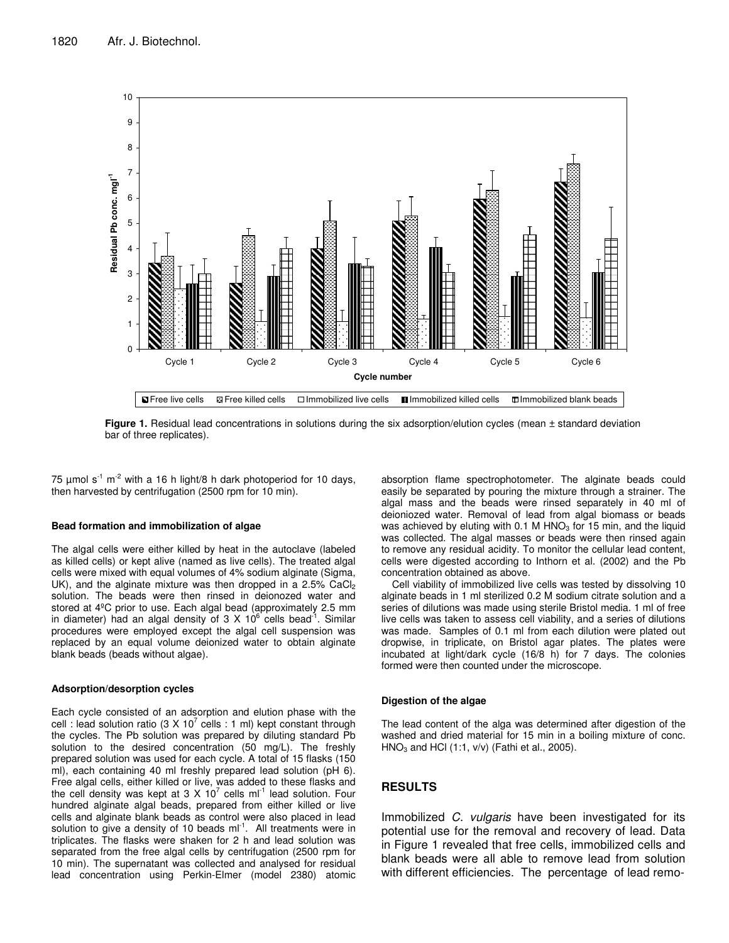

**Figure 1.** Residual lead concentrations in solutions during the six adsorption/elution cycles (mean ± standard deviation bar of three replicates).

75  $\mu$ mol s<sup>-1</sup> m<sup>-2</sup> with a 16 h light/8 h dark photoperiod for 10 days, then harvested by centrifugation (2500 rpm for 10 min).

#### **Bead formation and immobilization of algae**

The algal cells were either killed by heat in the autoclave (labeled as killed cells) or kept alive (named as live cells). The treated algal cells were mixed with equal volumes of 4% sodium alginate (Sigma, UK), and the alginate mixture was then dropped in a 2.5% CaCl2 solution. The beads were then rinsed in deionozed water and stored at 4ºC prior to use. Each algal bead (approximately 2.5 mm in diameter) had an algal density of 3 X 10 $^6$  cells bead<sup>-1</sup>. Similar procedures were employed except the algal cell suspension was replaced by an equal volume deionized water to obtain alginate blank beads (beads without algae).

#### **Adsorption/desorption cycles**

Each cycle consisted of an adsorption and elution phase with the cell : lead solution ratio (3 X 10<sup>7</sup> cells : 1 ml) kept constant through the cycles. The Pb solution was prepared by diluting standard Pb solution to the desired concentration (50 mg/L). The freshly prepared solution was used for each cycle. A total of 15 flasks (150 ml), each containing 40 ml freshly prepared lead solution (pH 6). Free algal cells, either killed or live, was added to these flasks and the cell density was kept at 3 X 10<sup>7</sup> cells ml<sup>-1</sup> lead solution. Four hundred alginate algal beads, prepared from either killed or live cells and alginate blank beads as control were also placed in lead solution to give a density of 10 beads  $ml^{-1}$ . All treatments were in triplicates. The flasks were shaken for 2 h and lead solution was separated from the free algal cells by centrifugation (2500 rpm for 10 min). The supernatant was collected and analysed for residual lead concentration using Perkin-Elmer (model 2380) atomic

absorption flame spectrophotometer. The alginate beads could easily be separated by pouring the mixture through a strainer. The algal mass and the beads were rinsed separately in 40 ml of deioniozed water. Removal of lead from algal biomass or beads was achieved by eluting with 0.1 M HNO $_3$  for 15 min, and the liquid was collected. The algal masses or beads were then rinsed again to remove any residual acidity. To monitor the cellular lead content, cells were digested according to Inthorn et al. (2002) and the Pb concentration obtained as above.

Cell viability of immobilized live cells was tested by dissolving 10 alginate beads in 1 ml sterilized 0.2 M sodium citrate solution and a series of dilutions was made using sterile Bristol media. 1 ml of free live cells was taken to assess cell viability, and a series of dilutions was made. Samples of 0.1 ml from each dilution were plated out dropwise, in triplicate, on Bristol agar plates. The plates were incubated at light/dark cycle (16/8 h) for 7 days. The colonies formed were then counted under the microscope.

#### **Digestion of the algae**

The lead content of the alga was determined after digestion of the washed and dried material for 15 min in a boiling mixture of conc.  $HNO<sub>3</sub>$  and HCl (1:1, v/v) (Fathi et al., 2005).

## **RESULTS**

Immobilized *C. vulgaris* have been investigated for its potential use for the removal and recovery of lead. Data in Figure 1 revealed that free cells, immobilized cells and blank beads were all able to remove lead from solution with different efficiencies. The percentage of lead remo-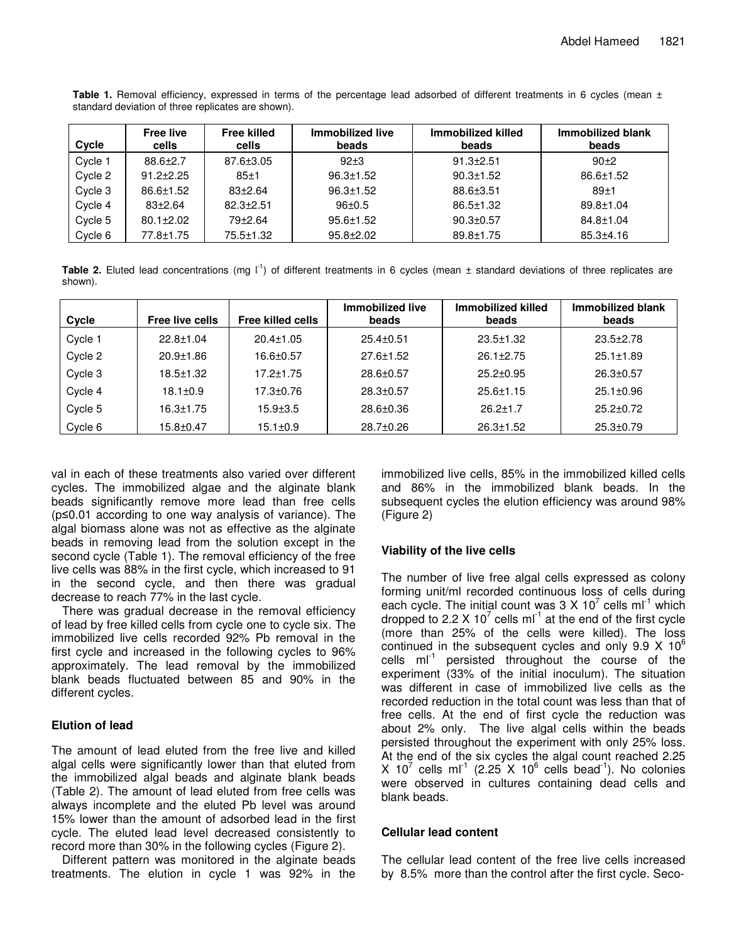| Cycle   | <b>Free live</b><br>cells | <b>Free killed</b><br>cells | Immobilized live<br>beads | Immobilized killed<br>beads | Immobilized blank<br>beads |
|---------|---------------------------|-----------------------------|---------------------------|-----------------------------|----------------------------|
| Cycle 1 | $88.6 \pm 2.7$            | $87.6 \pm 3.05$             | $92+3$                    | $91.3 + 2.51$               | $90+2$                     |
| Cycle 2 | $91.2 \pm 2.25$           | $85 + 1$                    | $96.3 \pm 1.52$           | $90.3 \pm 1.52$             | $86.6 \pm 1.52$            |
| Cycle 3 | $86.6 \pm 1.52$           | $83+2.64$                   | $96.3 \pm 1.52$           | $88.6 + 3.51$               | $89+1$                     |
| Cycle 4 | $83+2.64$                 | $82.3 + 2.51$               | $96 \pm 0.5$              | $86.5 \pm 1.32$             | $89.8 \pm 1.04$            |
| Cycle 5 | $80.1 \pm 2.02$           | $79+2.64$                   | $95.6 \pm 1.52$           | $90.3 \pm 0.57$             | $84.8 \pm 1.04$            |
| Cycle 6 | 77.8±1.75                 | 75.5±1.32                   | $95.8 + 2.02$             | 89.8±1.75                   | $85.3 + 4.16$              |

**Table 1.** Removal efficiency, expressed in terms of the percentage lead adsorbed of different treatments in 6 cycles (mean ± standard deviation of three replicates are shown).

Table 2. Eluted lead concentrations (mg l<sup>-1</sup>) of different treatments in 6 cycles (mean ± standard deviations of three replicates are shown).

| Cycle   | Free live cells | <b>Free killed cells</b> | Immobilized live<br>beads | Immobilized killed<br>beads | Immobilized blank<br>beads |
|---------|-----------------|--------------------------|---------------------------|-----------------------------|----------------------------|
| Cycle 1 | $22.8 \pm 1.04$ | $20.4 \pm 1.05$          | $25.4 \pm 0.51$           | $23.5 \pm 1.32$             | $23.5 \pm 2.78$            |
| Cycle 2 | $20.9 + 1.86$   | 16.6±0.57                | $27.6 \pm 1.52$           | $26.1 \pm 2.75$             | $25.1 \pm 1.89$            |
| Cycle 3 | $18.5 + 1.32$   | $17.2 \pm 1.75$          | $28.6 \pm 0.57$           | $25.2 \pm 0.95$             | $26.3 \pm 0.57$            |
| Cycle 4 | $18.1 \pm 0.9$  | 17.3±0.76                | $28.3 \pm 0.57$           | $25.6 \pm 1.15$             | $25.1 \pm 0.96$            |
| Cycle 5 | $16.3 \pm 1.75$ | $15.9 + 3.5$             | $28.6 \pm 0.36$           | $26.2 \pm 1.7$              | $25.2 \pm 0.72$            |
| Cycle 6 | 15.8±0.47       | $15.1 \pm 0.9$           | $28.7 \pm 0.26$           | $26.3 \pm 1.52$             | $25.3 \pm 0.79$            |

val in each of these treatments also varied over different cycles. The immobilized algae and the alginate blank beads significantly remove more lead than free cells  $(p \le 0.01$  according to one way analysis of variance). The algal biomass alone was not as effective as the alginate beads in removing lead from the solution except in the second cycle (Table 1). The removal efficiency of the free live cells was 88% in the first cycle, which increased to 91 in the second cycle, and then there was gradual decrease to reach 77% in the last cycle.

There was gradual decrease in the removal efficiency of lead by free killed cells from cycle one to cycle six. The immobilized live cells recorded 92% Pb removal in the first cycle and increased in the following cycles to 96% approximately. The lead removal by the immobilized blank beads fluctuated between 85 and 90% in the different cycles.

# **Elution of lead**

The amount of lead eluted from the free live and killed algal cells were significantly lower than that eluted from the immobilized algal beads and alginate blank beads (Table 2). The amount of lead eluted from free cells was always incomplete and the eluted Pb level was around 15% lower than the amount of adsorbed lead in the first cycle. The eluted lead level decreased consistently to record more than 30% in the following cycles (Figure 2).

Different pattern was monitored in the alginate beads treatments. The elution in cycle 1 was 92% in the

immobilized live cells, 85% in the immobilized killed cells and 86% in the immobilized blank beads. In the subsequent cycles the elution efficiency was around 98% (Figure 2)

# **Viability of the live cells**

The number of live free algal cells expressed as colony forming unit/ml recorded continuous loss of cells during each cycle. The initial count was 3 X 10<sup>7</sup> cells ml<sup>-1</sup> which dropped to 2.2 X 10<sup>7</sup> cells ml<sup>-1</sup> at the end of the first cycle (more than 25% of the cells were killed). The loss continued in the subsequent cycles and only 9.9 X 10 $^6$ cells ml<sup>-1</sup> persisted throughout the course of the experiment (33% of the initial inoculum). The situation was different in case of immobilized live cells as the recorded reduction in the total count was less than that of free cells. At the end of first cycle the reduction was about 2% only. The live algal cells within the beads persisted throughout the experiment with only 25% loss. At the end of the six cycles the algal count reached 2.25 X 10<sup>7</sup> cells ml<sup>-1</sup> (2.25 X 10<sup>6</sup> cells bead<sup>-1</sup>). No colonies were observed in cultures containing dead cells and blank beads.

# **Cellular lead content**

The cellular lead content of the free live cells increased by 8.5% more than the control after the first cycle. Seco-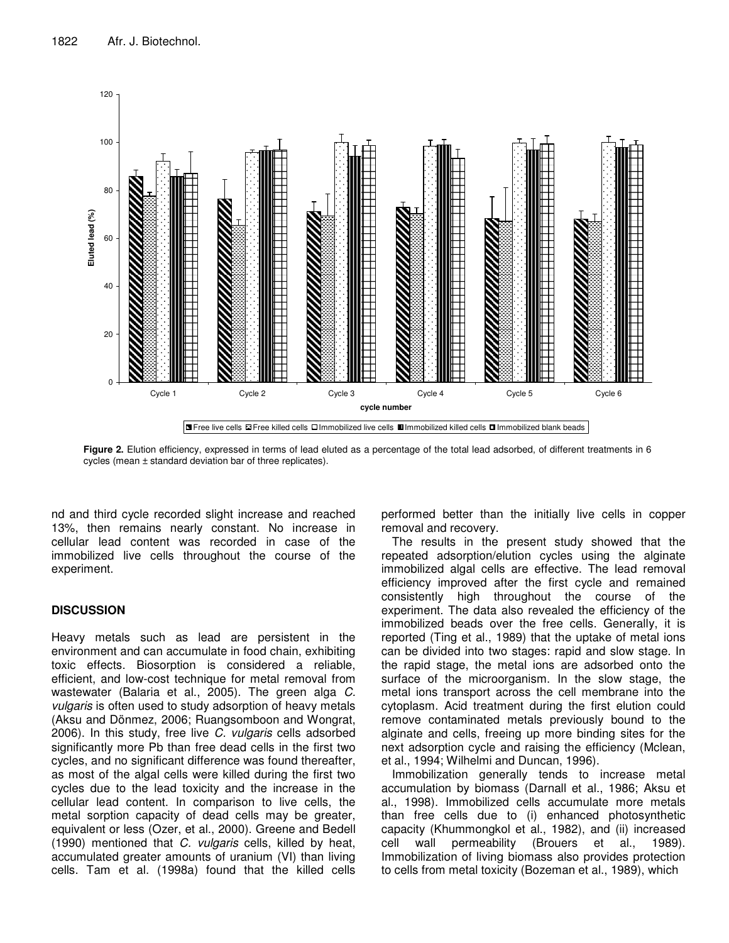

**Figure 2.** Elution efficiency, expressed in terms of lead eluted as a percentage of the total lead adsorbed, of different treatments in 6 cycles (mean ± standard deviation bar of three replicates).

nd and third cycle recorded slight increase and reached 13%, then remains nearly constant. No increase in cellular lead content was recorded in case of the immobilized live cells throughout the course of the experiment.

# **DISCUSSION**

Heavy metals such as lead are persistent in the environment and can accumulate in food chain, exhibiting toxic effects. Biosorption is considered a reliable, efficient, and low-cost technique for metal removal from wastewater (Balaria et al., 2005). The green alga *C. vulgaris* is often used to study adsorption of heavy metals (Aksu and Dönmez, 2006; Ruangsomboon and Wongrat, 2006). In this study, free live *C. vulgaris* cells adsorbed significantly more Pb than free dead cells in the first two cycles, and no significant difference was found thereafter, as most of the algal cells were killed during the first two cycles due to the lead toxicity and the increase in the cellular lead content. In comparison to live cells, the metal sorption capacity of dead cells may be greater, equivalent or less (Ozer, et al., 2000). Greene and Bedell (1990) mentioned that *C. vulgaris* cells, killed by heat, accumulated greater amounts of uranium (VI) than living cells. Tam et al. (1998a) found that the killed cells performed better than the initially live cells in copper removal and recovery.

The results in the present study showed that the repeated adsorption/elution cycles using the alginate immobilized algal cells are effective. The lead removal efficiency improved after the first cycle and remained consistently high throughout the course of the experiment. The data also revealed the efficiency of the immobilized beads over the free cells. Generally, it is reported (Ting et al., 1989) that the uptake of metal ions can be divided into two stages: rapid and slow stage. In the rapid stage, the metal ions are adsorbed onto the surface of the microorganism. In the slow stage, the metal ions transport across the cell membrane into the cytoplasm. Acid treatment during the first elution could remove contaminated metals previously bound to the alginate and cells, freeing up more binding sites for the next adsorption cycle and raising the efficiency (Mclean, et al., 1994; Wilhelmi and Duncan, 1996).

Immobilization generally tends to increase metal accumulation by biomass (Darnall et al., 1986; Aksu et al., 1998). Immobilized cells accumulate more metals than free cells due to (i) enhanced photosynthetic capacity (Khummongkol et al., 1982), and (ii) increased cell wall permeability (Brouers et al., 1989). Immobilization of living biomass also provides protection to cells from metal toxicity (Bozeman et al., 1989), which